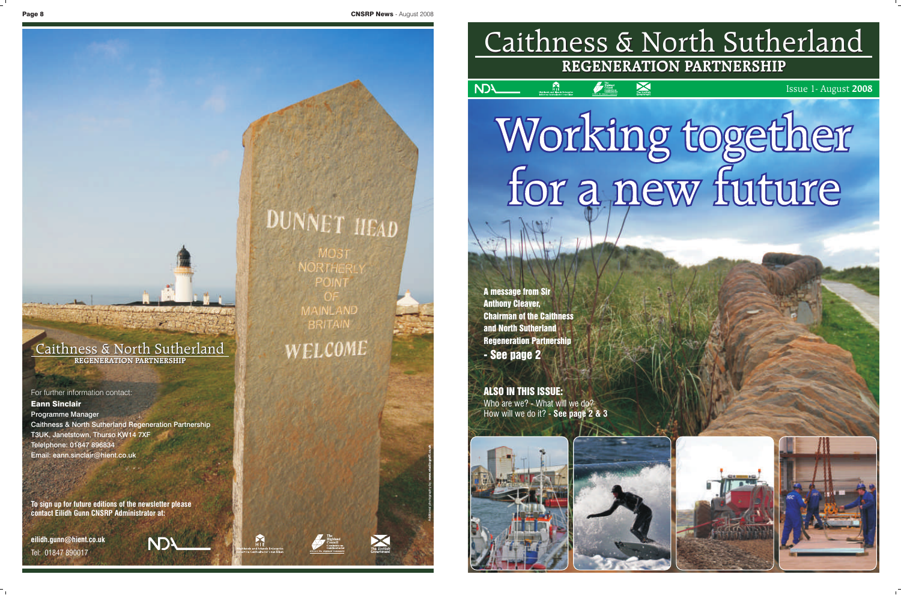# Caithness & North Sutherland Caithness & North Sutherland **REGENERATION PARTNERSHIP REGENERATION PARTNERSHIP**

 $\bm{\times}$ 

Issue 1- August **2008**

Working together<br>for a new future

A message from Sir

Anthony Cleaver,

**NDA** 

Chairman of the Caithness

 $\sum_{i=1}^{n}$ 

and North Sutherland

Regeneration Partnership

- See page 2

ALSO IN THIS ISSUE:

Who are we? - What will we do? How will we do it? - **See page 2 & 3**

For further information contact: Eann Sinclair Programme Manager Caithness & North Sutherland Regeneration Partnership T3UK, Janetstown, Thurso KW14 7XF Telelphone: 01847 896834 Email: eann.sinclair@hient.co.uk

 $1 - 1 - 1$ 

**To sign up for future editions of the newsletter please contact Eilidh Gunn CNSRP Administrator at:**

**NDA** 

**eilidh.gunn@hient.co.uk**

Tel: 01847 890017

# DUNNET HEAD

**JORTHER** POINT **MAINLAND BRITAIN** 

WELCOME

 $M_{\rm H}$ 



Additional photography by: www.studiograff.co.uk





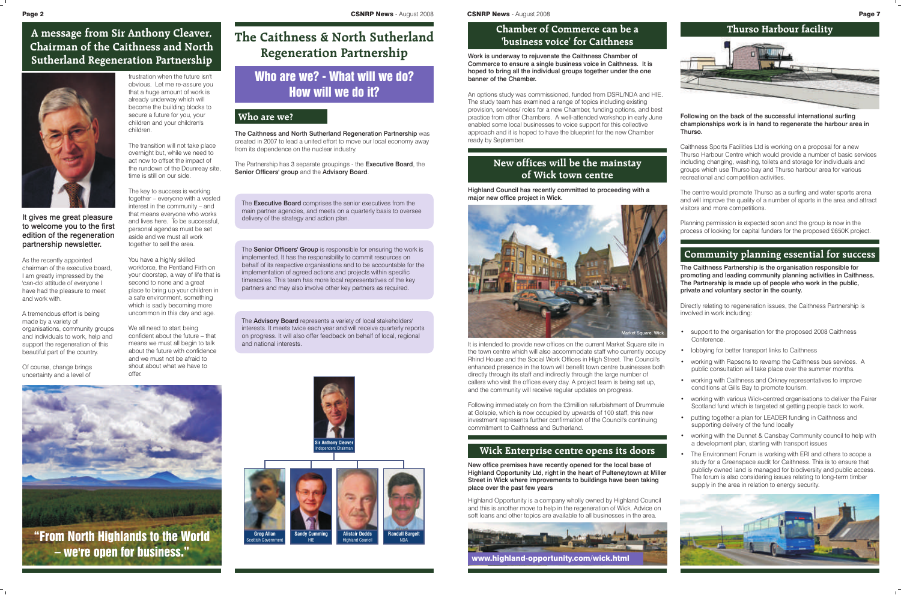It gives me great pleasure to welcome you to the first edition of the regeneration partnership newsletter.

As the recently appointed chairman of the executive board, I am greatly impressed by the 'can-do' attitude of everyone I have had the pleasure to meet and work with.

A tremendous effort is being made by a variety of organisations, community groups and individuals to work, help and support the regeneration of this beautiful part of the country.

Of course, change brings uncertainty and a level of

frustration when the future isn't obvious. Let me re-assure you that a huge amount of work is already underway which will become the building blocks to secure a future for you, your children and your children's children.

The transition will not take place overnight but, while we need to act now to offset the impact of the rundown of the Dounreay site, time is still on our side.

The key to success is working together – everyone with a vested interest in the community – and that means everyone who works and lives here. To be successful, personal agendas must be set aside and we must all work together to sell the area.

You have a highly skilled workforce, the Pentland Firth on your doorstep, a way of life that is second to none and a great place to bring up your children in a safe environment, something which is sadly becoming more uncommon in this day and age.

The **Senior Officers' Group** is responsible for ensuring the work is implemented. It has the responsibility to commit resources on behalf of its respective organisations and to be accountable for the implementation of agreed actions and projects within specific timescales. This team has more local representatives of the key partners and may also involve other key partners as required.

We all need to start being confident about the future – that means we must all begin to talk about the future with confidence and we must not be afraid to shout about what we have to offer.

The **Executive Board** comprises the senior executives from the main partner agencies, and meets on a quarterly basis to oversee delivery of the strategy and action plan.

**A message from Sir Anthony Cleaver, Chairman of the Caithness and North Sutherland Regeneration Partnership**



"From North Highlands to the World – we're open for business."

# **The Caithness & North Sutherland Regeneration Partnership**

# Who are we? - What will we do? How will we do it?

The Caithness and North Sutherland Regeneration Partnership was created in 2007 to lead a united effort to move our local economy away from its dependence on the nuclear industry.

The Partnership has 3 separate groupings - the Executive Board, the Senior Officers' group and the Advisory Board.



The Advisory Board represents a variety of local stakeholders' interests. It meets twice each year and will receive quarterly reports on progress. It will also offer feedback on behalf of local, regional and national interests.



### **Who are we?**



# **Chamber of Commerce can be a 'business voice' for Caithness**

Work is underway to rejuvenate the Caithness Chamber of Commerce to ensure a single business voice in Caithness. It is hoped to bring all the individual groups together under the one banner of the Chamber.

An options study was commissioned, funded from DSRL/NDA and HIE. The study team has examined a range of topics including existing provision, services/ roles for a new Chamber, funding options, and best practice from other Chambers. A well-attended workshop in early June enabled some local businesses to voice support for this collective approach and it is hoped to have the blueprint for the new Chamber ready by September.

- support to the organisation for the proposed 2008 Caithness **Conference**
- lobbying for better transport links to Caithness
- working with Rapsons to revamp the Caithness bus services. A public consultation will take place over the summer months.
- working with Caithness and Orkney representatives to improve conditions at Gills Bay to promote tourism.
- working with various Wick-centred organisations to deliver the Fairer Scotland fund which is targeted at getting people back to work.
- putting together a plan for LEADER funding in Caithness and supporting delivery of the fund locally
- working with the Dunnet & Cansbay Community council to help with a development plan, starting with transport issues
- The Environment Forum is working with ERI and others to scope a study for a Greenspace audit for Caithness. This is to ensure that publicly owned land is managed for biodiversity and public access. The forum is also considering issues relating to long-term timber supply in the area in relation to energy security.



# **Wick Enterprise centre opens its doors**

# **New offices will be the mainstay of Wick town centre**

Highland Council has recently committed to proceeding with a major new office project in Wick.

It is intended to provide new offices on the current Market Square site in the town centre which will also accommodate staff who currently occupy Rhind House and the Social Work Offices in High Street. The Council's enhanced presence in the town will benefit town centre businesses both directly through its staff and indirectly through the large number of callers who visit the offices every day. A project team is being set up, and the community will receive regular updates on progress.

Following immediately on from the £3million refurbishment of Drummuie at Golspie, which is now occupied by upwards of 100 staff, this new investment represents further confirmation of the Council's continuing commitment to Caithness and Sutherland.

New office premises have recently opened for the local base of Highland Opportunity Ltd, right in the heart of Pulteneytown at Miller Street in Wick where improvements to buildings have been taking place over the past few years

Highland Opportunity is a company wholly owned by Highland Council and this is another move to help in the regeneration of Wick. Advice on soft loans and other topics are available to all businesses in the area.



#### Following on the back of the successful international surfing championships work is in hand to regenerate the harbour area in Thurso.

Caithness Sports Facilities Ltd is working on a proposal for a new Thurso Harbour Centre which would provide a number of basic services including changing, washing, toilets and storage for individuals and groups which use Thurso bay and Thurso harbour area for various recreational and competition activities.

The centre would promote Thurso as a surfing and water sports arena and will improve the quality of a number of sports in the area and attract visitors and more competitions.

Planning permission is expected soon and the group is now in the process of looking for capital funders for the proposed £650K project.

# **Community planning essential for success**

The Caithness Partnership is the organisation responsible for promoting and leading community planning activities in Caithness. The Partnership is made up of people who work in the public, private and voluntary sector in the county.

Directly relating to regeneration issues, the Caithness Partnership is involved in work including:

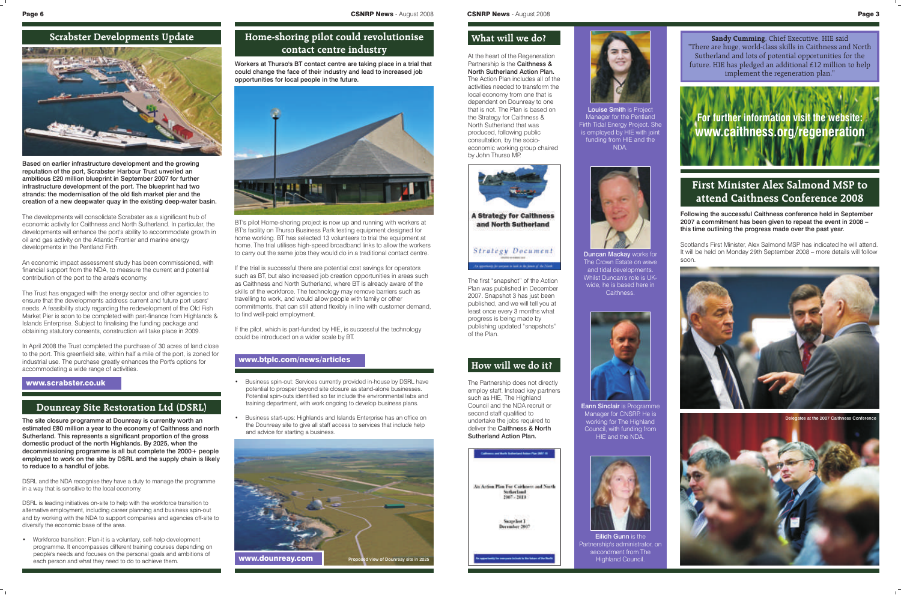# **How will we do it?**

**Sandy Cumming**, Chief Executive, HIE said "There are huge, world-class skills in Caithness and North Sutherland and lots of potential opportunities for the future. HIE has pledged an additional £12 million to help implement the regeneration plan."

# **For further information visit the website: www.caithness.org/regeneration**

### **What will we do?**

At the heart of the Regeneration Partnership is the **Caithness &** North Sutherland Action Plan. The Action Plan includes all of the activities needed to transform the local economy from one that is dependent on Dounreay to one that is not. The Plan is based on the Strategy for Caithness & North Sutherland that was produced, following public consultation, by the socioeconomic working group chaired by John Thurso MP.





Eann Sinclair is Programme Manager for CNSRP. He is working for The Highland Council, with funding from HIE and the NDA.



**Eilidh Gunn is the** Partnership's administrator, on secondment from The Highland Council.

The Partnership does not directly employ staff. Instead key partners such as HIE, The Highland Council and the NDA recruit or second staff qualified to undertake the jobs required to deliver the Caithness & North Sutherland Action Plan.





Louise Smith is Project Manager for the Pentland Firth Tidal Energy Project. She is employed by HIE with joint funding from HIE and the NDA.



Duncan Mackay works for The Crown Estate on wave and tidal developments. Whilst Duncan's role is UKwide, he is based here in Caithness.

The first "snapshot" of the Action Plan was published in December 2007. Snapshot 3 has just been published, and we will tell you at least once every 3 months what progress is being made by publishing updated "snapshots" of the Plan.

### www.scrabster.co.uk



Based on earlier infrastructure development and the growing reputation of the port, Scrabster Harbour Trust unveiled an ambitious £20 million blueprint in September 2007 for further infrastructure development of the port. The blueprint had two strands: the modernisation of the old fish market pier and the creation of a new deepwater quay in the existing deep-water basin.

The developments will consolidate Scrabster as a significant hub of economic activity for Caithness and North Sutherland. In particular, the developments will enhance the port's ability to accommodate growth in oil and gas activity on the Atlantic Frontier and marine energy developments in the Pentland Firth.

An economic impact assessment study has been commissioned, with financial support from the NDA, to measure the current and potential contribution of the port to the area's economy.

The Trust has engaged with the energy sector and other agencies to ensure that the developments address current and future port users' needs. A feasibility study regarding the redevelopment of the Old Fish Market Pier is soon to be completed with part-finance from Highlands & Islands Enterprise. Subject to finalising the funding package and obtaining statutory consents, construction will take place in 2009.

In April 2008 the Trust completed the purchase of 30 acres of land close to the port. This greenfield site, within half a mile of the port, is zoned for industrial use. The purchase greatly enhances the Port's options for accommodating a wide range of activities.

# **Home-shoring pilot could revolutionise contact centre industry**

Workers at Thurso's BT contact centre are taking place in a trial that could change the face of their industry and lead to increased job opportunities for local people in the future.



BT's pilot Home-shoring project is now up and running with workers at BT's facility on Thurso Business Park testing equipment designed for home working. BT has selected 13 volunteers to trial the equipment at home. The trial utilises high-speed broadband links to allow the workers to carry out the same jobs they would do in a traditional contact centre.

If the trial is successful there are potential cost savings for operators such as BT, but also increased job creation opportunities in areas such as Caithness and North Sutherland, where BT is already aware of the skills of the workforce. The technology may remove barriers such as travelling to work, and would allow people with family or other commitments, that can still attend flexibly in line with customer demand, to find well-paid employment.

If the pilot, which is part-funded by HIE, is successful the technology could be introduced on a wider scale by BT.

### www.btplc.com/news/articles

### **Dounreay Site Restoration Ltd (DSRL)**

The site closure programme at Dounreay is currently worth an estimated £80 million a year to the economy of Caithness and north Sutherland. This represents a significant proportion of the gross domestic product of the north Highlands. By 2025, when the decommissioning programme is all but complete the 2000+ people employed to work on the site by DSRL and the supply chain is likely to reduce to a handful of jobs.

DSRL and the NDA recognise they have a duty to manage the programme in a way that is sensitive to the local economy.

DSRL is leading initiatives on-site to help with the workforce transition to alternative employment, including career planning and business spin-out and by working with the NDA to support companies and agencies off-site to diversify the economic base of the area.

• Workforce transition: Plan-it is a voluntary, self-help development programme. It encompasses different training courses depending on people's needs and focuses on the personal goals and ambitions of each person and what they need to do to achieve them.

- Business spin-out: Services currently provided in-house by DSRL have potential to prosper beyond site closure as stand-alone businesses. Potential spin-outs identified so far include the environmental labs and training department, with work ongoing to develop business plans.
- Business start-ups: Highlands and Islands Enterprise has an office on the Dounreay site to give all staff access to services that include help and advice for starting a business.



# **First Minister Alex Salmond MSP to attend Caithness Conference 2008**

Following the successful Caithness conference held in September 2007 a commitment has been given to repeat the event in 2008 – this time outlining the progress made over the past year.

Scotland's First Minister, Alex Salmond MSP has indicated he will attend. It will be held on Monday 29th September 2008 – more details will follow soon.



Delegates at the 2007 Caithness Confe